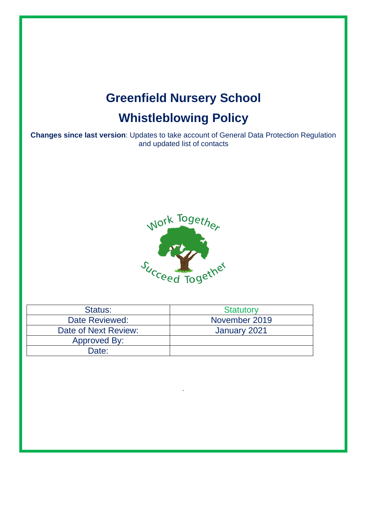# **Greenfield Nursery School Whistleblowing Policy**

**Changes since last version**: Updates to take account of General Data Protection Regulation and updated list of contacts



| Status:              | <b>Statutory</b> |
|----------------------|------------------|
| Date Reviewed:       | November 2019    |
| Date of Next Review: | January 2021     |
| Approved By:         |                  |
| Date:                |                  |

*.*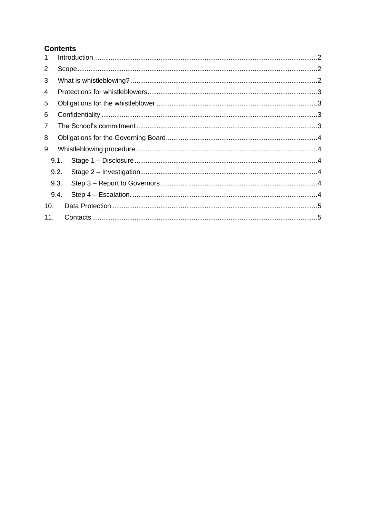# **Contents**

| 1.  |      |  |  |
|-----|------|--|--|
| 2.  |      |  |  |
| 3.  |      |  |  |
| 4.  |      |  |  |
| 5.  |      |  |  |
| 6.  |      |  |  |
| 7.  |      |  |  |
| 8.  |      |  |  |
| 9.  |      |  |  |
|     | 9.1. |  |  |
|     | 9.2. |  |  |
|     | 9.3. |  |  |
|     | 9.4. |  |  |
| 10. |      |  |  |
| 11. |      |  |  |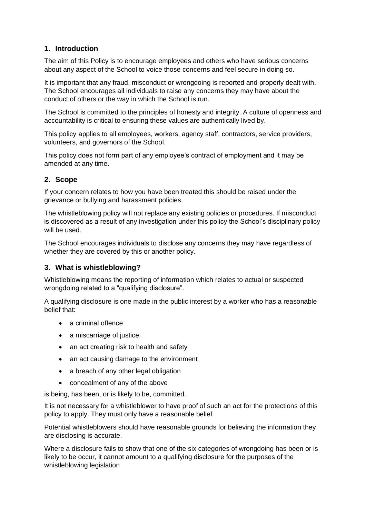# **1. Introduction**

The aim of this Policy is to encourage employees and others who have serious concerns about any aspect of the School to voice those concerns and feel secure in doing so.

It is important that any fraud, misconduct or wrongdoing is reported and properly dealt with. The School encourages all individuals to raise any concerns they may have about the conduct of others or the way in which the School is run.

The School is committed to the principles of honesty and integrity. A culture of openness and accountability is critical to ensuring these values are authentically lived by.

This policy applies to all employees, workers, agency staff, contractors, service providers, volunteers, and governors of the School.

This policy does not form part of any employee's contract of employment and it may be amended at any time.

## **2. Scope**

If your concern relates to how you have been treated this should be raised under the grievance or bullying and harassment policies.

The whistleblowing policy will not replace any existing policies or procedures. If misconduct is discovered as a result of any investigation under this policy the School's disciplinary policy will be used.

The School encourages individuals to disclose any concerns they may have regardless of whether they are covered by this or another policy.

#### **3. What is whistleblowing?**

Whistleblowing means the reporting of information which relates to actual or suspected wrongdoing related to a "qualifying disclosure".

A qualifying disclosure is one made in the public interest by a worker who has a reasonable belief that:

- a criminal offence
- a miscarriage of justice
- an act creating risk to health and safety
- an act causing damage to the environment
- a breach of any other legal obligation
- concealment of any of the above

is being, has been, or is likely to be, committed.

It is not necessary for a whistleblower to have proof of such an act for the protections of this policy to apply. They must only have a reasonable belief.

Potential whistleblowers should have reasonable grounds for believing the information they are disclosing is accurate.

Where a disclosure fails to show that one of the six categories of wrongdoing has been or is likely to be occur, it cannot amount to a qualifying disclosure for the purposes of the whistleblowing legislation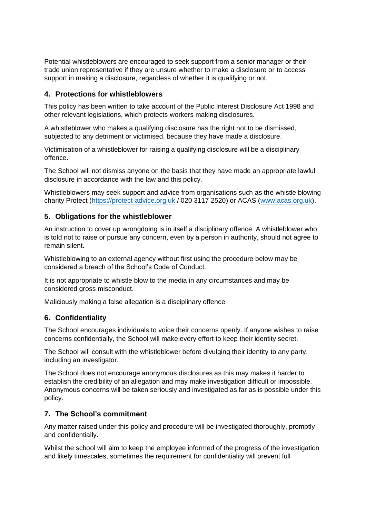Potential whistleblowers are encouraged to seek support from a senior manager or their trade union representative if they are unsure whether to make a disclosure or to access support in making a disclosure, regardless of whether it is qualifying or not.

#### **4. Protections for whistleblowers**

This policy has been written to take account of the Public Interest Disclosure Act 1998 and other relevant legislations, which protects workers making disclosures.

A whistleblower who makes a qualifying disclosure has the right not to be dismissed, subjected to any detriment or victimised, because they have made a disclosure.

Victimisation of a whistleblower for raising a qualifying disclosure will be a disciplinary offence.

The School will not dismiss anyone on the basis that they have made an appropriate lawful disclosure in accordance with the law and this policy.

Whistleblowers may seek support and advice from organisations such as the whistle blowing charity Protect [\(https://protect-advice.org.uk](https://protect-advice.org.uk/) / 020 3117 2520) or ACAS [\(www.acas.org.uk\)](http://www.acas.org.uk/).

#### **5. Obligations for the whistleblower**

An instruction to cover up wrongdoing is in itself a disciplinary offence. A whistleblower who is told not to raise or pursue any concern, even by a person in authority, should not agree to remain silent.

Whistleblowing to an external agency without first using the procedure below may be considered a breach of the School's Code of Conduct.

It is not appropriate to whistle blow to the media in any circumstances and may be considered gross misconduct.

Maliciously making a false allegation is a disciplinary offence

#### **6. Confidentiality**

The School encourages individuals to voice their concerns openly. If anyone wishes to raise concerns confidentially, the School will make every effort to keep their identity secret.

The School will consult with the whistleblower before divulging their identity to any party, including an investigator.

The School does not encourage anonymous disclosures as this may makes it harder to establish the credibility of an allegation and may make investigation difficult or impossible. Anonymous concerns will be taken seriously and investigated as far as is possible under this policy.

#### **7. The School's commitment**

Any matter raised under this policy and procedure will be investigated thoroughly, promptly and confidentially.

Whilst the school will aim to keep the employee informed of the progress of the investigation and likely timescales, sometimes the requirement for confidentiality will prevent full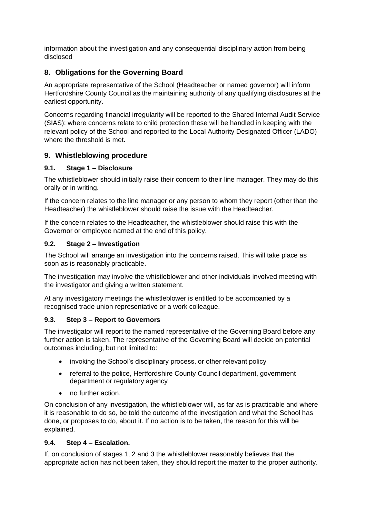information about the investigation and any consequential disciplinary action from being disclosed

# **8. Obligations for the Governing Board**

An appropriate representative of the School (Headteacher or named governor) will inform Hertfordshire County Council as the maintaining authority of any qualifying disclosures at the earliest opportunity.

Concerns regarding financial irregularity will be reported to the Shared Internal Audit Service (SIAS); where concerns relate to child protection these will be handled in keeping with the relevant policy of the School and reported to the Local Authority Designated Officer (LADO) where the threshold is met.

#### **9. Whistleblowing procedure**

#### **9.1. Stage 1 – Disclosure**

The whistleblower should initially raise their concern to their line manager. They may do this orally or in writing.

If the concern relates to the line manager or any person to whom they report (other than the Headteacher) the whistleblower should raise the issue with the Headteacher.

If the concern relates to the Headteacher, the whistleblower should raise this with the Governor or employee named at the end of this policy.

#### **9.2. Stage 2 – Investigation**

The School will arrange an investigation into the concerns raised. This will take place as soon as is reasonably practicable.

The investigation may involve the whistleblower and other individuals involved meeting with the investigator and giving a written statement.

At any investigatory meetings the whistleblower is entitled to be accompanied by a recognised trade union representative or a work colleague.

#### **9.3. Step 3 – Report to Governors**

The investigator will report to the named representative of the Governing Board before any further action is taken. The representative of the Governing Board will decide on potential outcomes including, but not limited to:

- invoking the School's disciplinary process, or other relevant policy
- referral to the police, Hertfordshire County Council department, government department or regulatory agency
- no further action.

On conclusion of any investigation, the whistleblower will, as far as is practicable and where it is reasonable to do so, be told the outcome of the investigation and what the School has done, or proposes to do, about it. If no action is to be taken, the reason for this will be explained.

#### **9.4. Step 4 – Escalation.**

If, on conclusion of stages 1, 2 and 3 the whistleblower reasonably believes that the appropriate action has not been taken, they should report the matter to the proper authority.